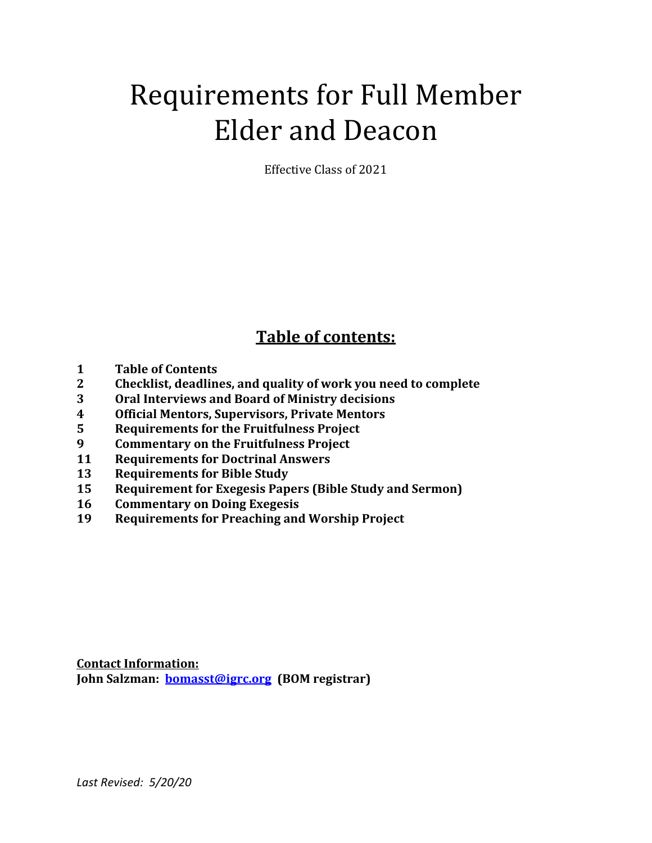# Requirements for Full Member Elder and Deacon

Effective Class of 2021

# **Table of contents:**

- **Table of Contents**
- **Checklist, deadlines, and quality of work you need to complete**
- **Oral Interviews and Board of Ministry decisions**
- **Official Mentors, Supervisors, Private Mentors**
- **Requirements for the Fruitfulness Project**
- **Commentary on the Fruitfulness Project**
- **Requirements for Doctrinal Answers**
- **Requirements for Bible Study**
- Requirement for Exegesis Papers (Bible Study and Sermon)
- **Commentary on Doing Exegesis**
- Requirements for Preaching and Worship Project

**Contact Information: John Salzman: <b>bomasst@igrc.org** (BOM registrar)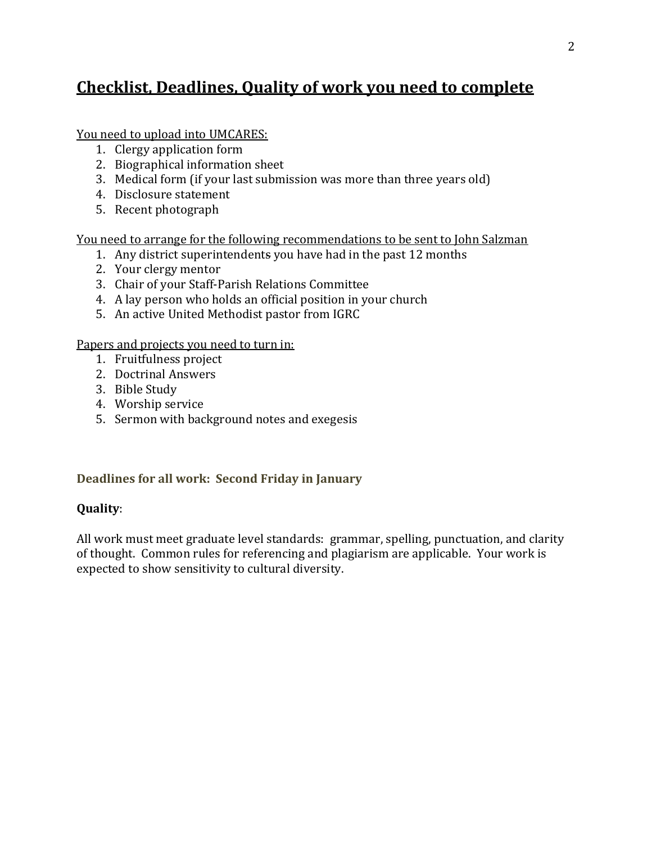# **Checklist, Deadlines, Quality of work you need to complete**

You need to upload into UMCARES:

- 1. Clergy application form
- 2. Biographical information sheet
- 3. Medical form (if your last submission was more than three years old)
- 4. Disclosure statement
- 5. Recent photograph

<u>You need to arrange for the following recommendations to be sent to John Salzman</u>

- 1. Any district superintendents you have had in the past 12 months
- 2. Your clergy mentor
- 3. Chair of your Staff-Parish Relations Committee
- 4. A lay person who holds an official position in your church
- 5. An active United Methodist pastor from IGRC

Papers and projects you need to turn in:

- 1. Fruitfulness project
- 2. Doctrinal Answers
- 3. Bible Study
- 4. Worship service
- 5. Sermon with background notes and exegesis

## **Deadlines for all work: Second Friday in January**

## **Quality**:

All work must meet graduate level standards: grammar, spelling, punctuation, and clarity of thought. Common rules for referencing and plagiarism are applicable. Your work is expected to show sensitivity to cultural diversity.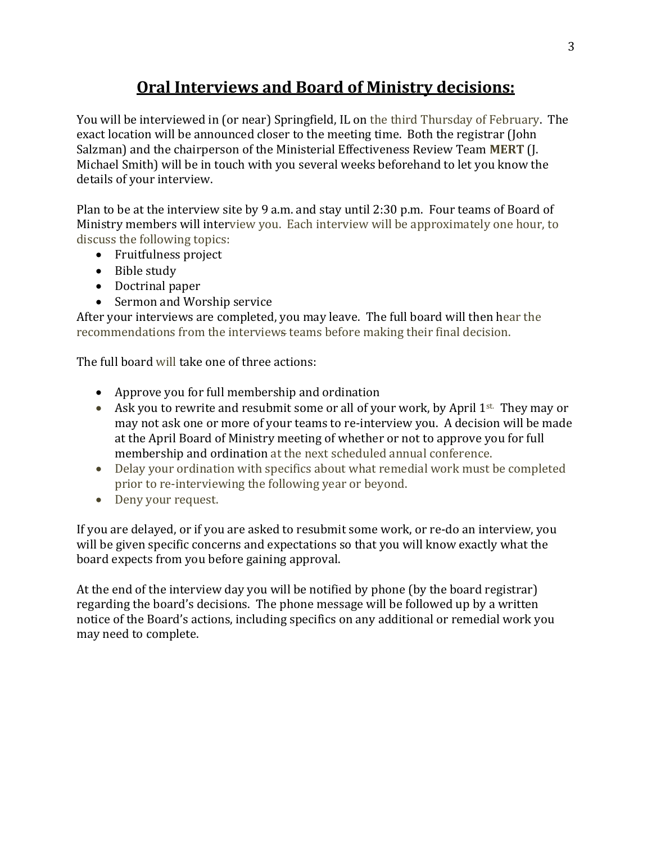# **Oral Interviews and Board of Ministry decisions:**

You will be interviewed in (or near) Springfield, IL on the third Thursday of February. The exact location will be announced closer to the meeting time. Both the registrar (John Salzman) and the chairperson of the Ministerial Effectiveness Review Team MERT (J. Michael Smith) will be in touch with you several weeks beforehand to let you know the details of your interview.

Plan to be at the interview site by 9 a.m. and stay until 2:30 p.m. Four teams of Board of Ministry members will interview you. Each interview will be approximately one hour, to discuss the following topics:

- Fruitfulness project
- Bible study
- Doctrinal paper
- Sermon and Worship service

After your interviews are completed, you may leave. The full board will then hear the recommendations from the interviews teams before making their final decision.

The full board will take one of three actions:

- Approve you for full membership and ordination
- Ask you to rewrite and resubmit some or all of your work, by April  $1^{st}$ . They may or may not ask one or more of your teams to re-interview you. A decision will be made at the April Board of Ministry meeting of whether or not to approve you for full membership and ordination at the next scheduled annual conference.
- Delay your ordination with specifics about what remedial work must be completed prior to re-interviewing the following year or beyond.
- Deny your request.

If you are delayed, or if you are asked to resubmit some work, or re-do an interview, you will be given specific concerns and expectations so that you will know exactly what the board expects from you before gaining approval.

At the end of the interview day you will be notified by phone (by the board registrar) regarding the board's decisions. The phone message will be followed up by a written notice of the Board's actions, including specifics on any additional or remedial work you may need to complete.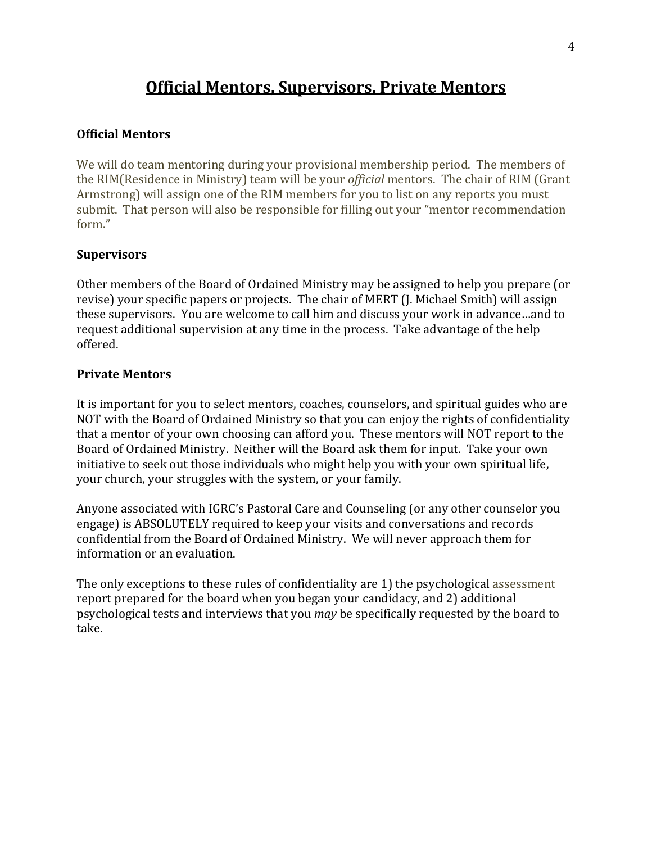## **Official Mentors, Supervisors, Private Mentors**

#### **Official Mentors**

We will do team mentoring during your provisional membership period. The members of the RIM(Residence in Ministry) team will be your *official* mentors. The chair of RIM (Grant Armstrong) will assign one of the RIM members for you to list on any reports you must submit. That person will also be responsible for filling out your "mentor recommendation form."

#### **Supervisors**

Other members of the Board of Ordained Ministry may be assigned to help you prepare (or revise) your specific papers or projects. The chair of MERT (J. Michael Smith) will assign these supervisors. You are welcome to call him and discuss your work in advance...and to request additional supervision at any time in the process. Take advantage of the help offered.

#### **Private Mentors**

It is important for you to select mentors, coaches, counselors, and spiritual guides who are NOT with the Board of Ordained Ministry so that you can enjoy the rights of confidentiality that a mentor of your own choosing can afford you. These mentors will NOT report to the Board of Ordained Ministry. Neither will the Board ask them for input. Take your own initiative to seek out those individuals who might help you with your own spiritual life, your church, your struggles with the system, or your family.

Anyone associated with IGRC's Pastoral Care and Counseling (or any other counselor you engage) is ABSOLUTELY required to keep your visits and conversations and records confidential from the Board of Ordained Ministry. We will never approach them for information or an evaluation.

The only exceptions to these rules of confidentiality are  $1$ ) the psychological assessment report prepared for the board when you began your candidacy, and 2) additional psychological tests and interviews that you *may* be specifically requested by the board to take.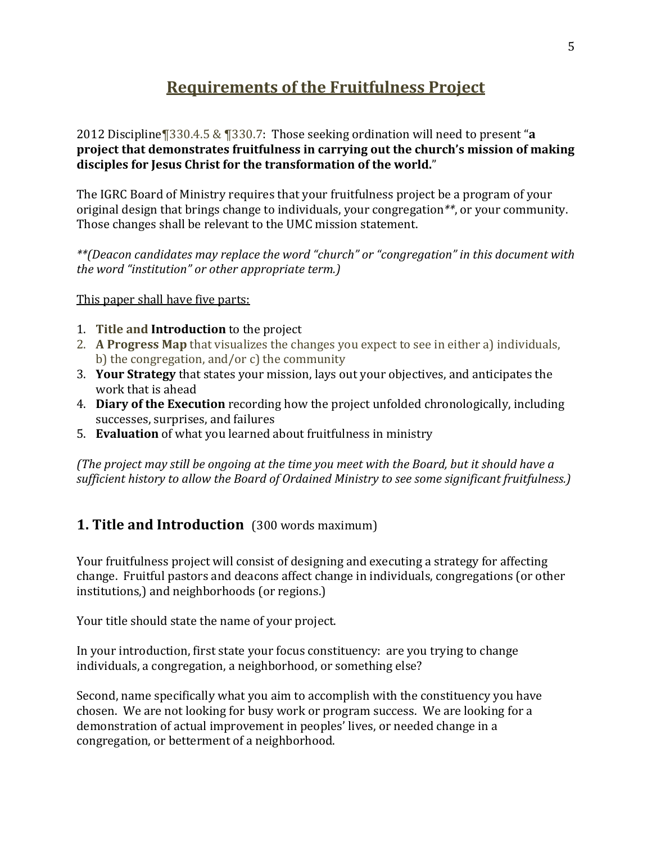# **Requirements of the Fruitfulness Project**

2012 Discipline¶330.4.5 & ¶330.7: Those seeking ordination will need to present "a project that demonstrates fruitfulness in carrying out the church's mission of making disciples for Jesus Christ for the transformation of the world."

The IGRC Board of Ministry requires that your fruitfulness project be a program of your original design that brings change to individuals, your congregation<sup>\*\*</sup>, or your community. Those changes shall be relevant to the UMC mission statement.

\*\*(Deacon candidates may replace the word "church" or "congregation" in this document with *the word "institution" or other appropriate term.)* 

This paper shall have five parts:

- **1. Title and Introduction** to the project
- 2. A Progress Map that visualizes the changes you expect to see in either a) individuals, b) the congregation, and/or c) the community
- 3. Your Strategy that states your mission, lays out your objectives, and anticipates the work that is ahead
- 4. **Diary of the Execution** recording how the project unfolded chronologically, including successes, surprises, and failures
- 5. **Evaluation** of what you learned about fruitfulness in ministry

*(The project may still be ongoing at the time you meet with the Board, but it should have a* sufficient history to allow the Board of Ordained Ministry to see some significant fruitfulness.)

## **1. Title and Introduction** (300 words maximum)

Your fruitfulness project will consist of designing and executing a strategy for affecting change. Fruitful pastors and deacons affect change in individuals, congregations (or other institutions,) and neighborhoods (or regions.)

Your title should state the name of your project.

In your introduction, first state your focus constituency: are you trying to change individuals, a congregation, a neighborhood, or something else?

Second, name specifically what you aim to accomplish with the constituency you have chosen. We are not looking for busy work or program success. We are looking for a demonstration of actual improvement in peoples' lives, or needed change in a congregation, or betterment of a neighborhood.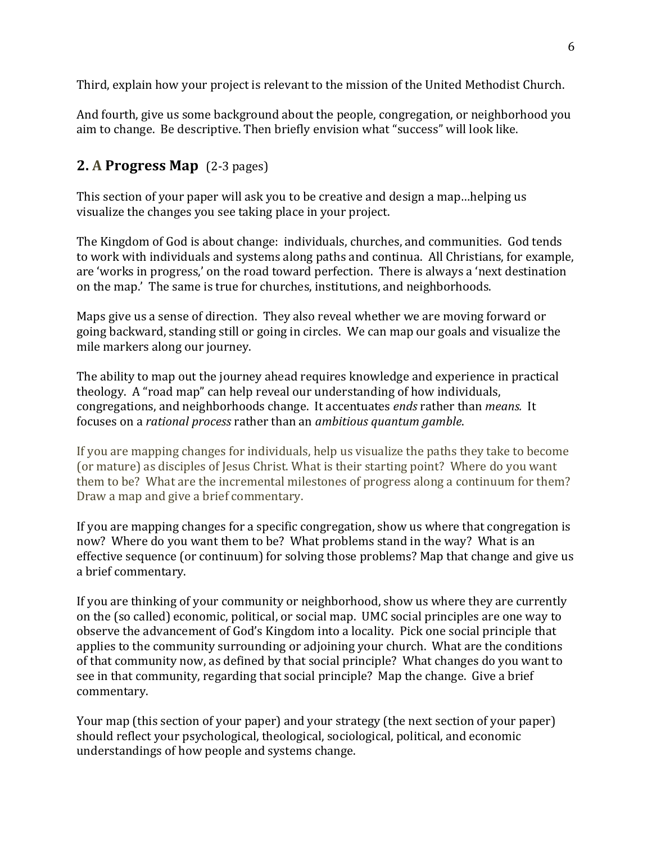Third, explain how your project is relevant to the mission of the United Methodist Church.

And fourth, give us some background about the people, congregation, or neighborhood you aim to change. Be descriptive. Then briefly envision what "success" will look like.

## **2. A Progress Map** (2-3 pages)

This section of your paper will ask you to be creative and design a map...helping us visualize the changes you see taking place in your project.

The Kingdom of God is about change: individuals, churches, and communities. God tends to work with individuals and systems along paths and continua. All Christians, for example, are 'works in progress,' on the road toward perfection. There is always a 'next destination on the map.' The same is true for churches, institutions, and neighborhoods.

Maps give us a sense of direction. They also reveal whether we are moving forward or going backward, standing still or going in circles. We can map our goals and visualize the mile markers along our journey.

The ability to map out the journey ahead requires knowledge and experience in practical theology. A "road map" can help reveal our understanding of how individuals, congregations, and neighborhoods change. It accentuates *ends* rather than *means.* It focuses on a *rational process* rather than an *ambitious quantum gamble*.

If you are mapping changes for individuals, help us visualize the paths they take to become (or mature) as disciples of Jesus Christ. What is their starting point? Where do you want them to be? What are the incremental milestones of progress along a continuum for them? Draw a map and give a brief commentary.

If you are mapping changes for a specific congregation, show us where that congregation is now? Where do you want them to be? What problems stand in the way? What is an effective sequence (or continuum) for solving those problems? Map that change and give us a brief commentary.

If you are thinking of your community or neighborhood, show us where they are currently on the (so called) economic, political, or social map. UMC social principles are one way to observe the advancement of God's Kingdom into a locality. Pick one social principle that applies to the community surrounding or adjoining your church. What are the conditions of that community now, as defined by that social principle? What changes do you want to see in that community, regarding that social principle? Map the change. Give a brief commentary. 

Your map (this section of your paper) and your strategy (the next section of your paper) should reflect your psychological, theological, sociological, political, and economic understandings of how people and systems change.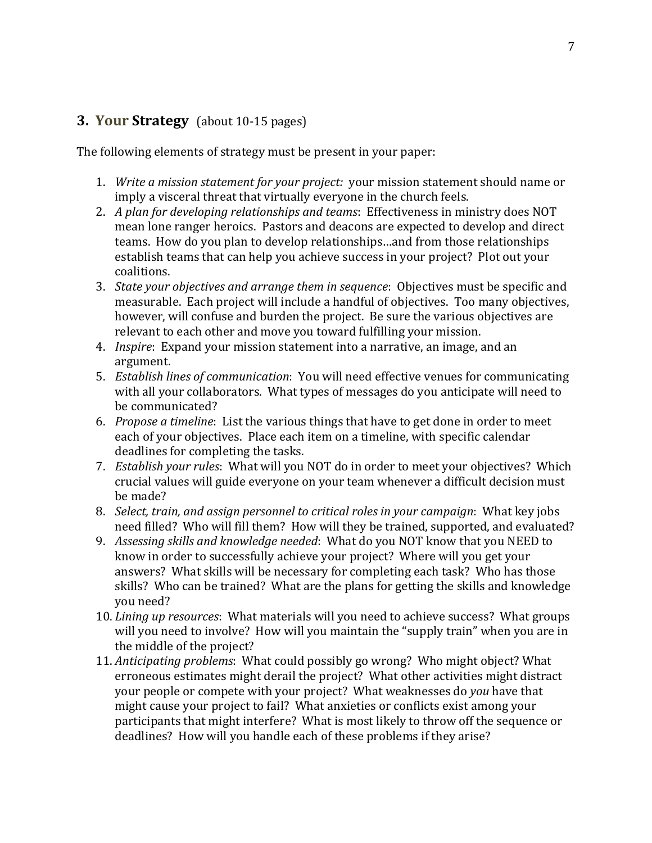## **3. Your Strategy** (about 10-15 pages)

The following elements of strategy must be present in your paper:

- 1. *Write a mission statement for your project:* your mission statement should name or imply a visceral threat that virtually everyone in the church feels.
- 2. *A plan for developing relationships and teams:* Effectiveness in ministry does NOT mean lone ranger heroics. Pastors and deacons are expected to develop and direct teams. How do you plan to develop relationships...and from those relationships establish teams that can help you achieve success in your project? Plot out your coalitions.
- 3. *State your objectives and arrange them in sequence*: Objectives must be specific and measurable. Each project will include a handful of objectives. Too many objectives, however, will confuse and burden the project. Be sure the various objectives are relevant to each other and move you toward fulfilling your mission.
- 4. *Inspire*: Expand your mission statement into a narrative, an image, and an argument.
- 5. *Establish lines of communication*: You will need effective venues for communicating with all your collaborators. What types of messages do you anticipate will need to be communicated?
- 6. *Propose a timeline*: List the various things that have to get done in order to meet each of your objectives. Place each item on a timeline, with specific calendar deadlines for completing the tasks.
- 7. *Establish your rules*: What will you NOT do in order to meet your objectives? Which crucial values will guide everyone on your team whenever a difficult decision must be made?
- 8. *Select, train, and assign personnel to critical roles in your campaign*: What key jobs need filled? Who will fill them? How will they be trained, supported, and evaluated?
- 9. Assessing skills and knowledge needed: What do you NOT know that you NEED to know in order to successfully achieve your project? Where will you get your answers? What skills will be necessary for completing each task? Who has those skills? Who can be trained? What are the plans for getting the skills and knowledge you need?
- 10. *Lining up resources*: What materials will you need to achieve success? What groups will you need to involve? How will you maintain the "supply train" when you are in the middle of the project?
- 11. *Anticipating problems*: What could possibly go wrong? Who might object? What erroneous estimates might derail the project? What other activities might distract your people or compete with your project? What weaknesses do *you* have that might cause your project to fail? What anxieties or conflicts exist among your participants that might interfere? What is most likely to throw off the sequence or deadlines? How will you handle each of these problems if they arise?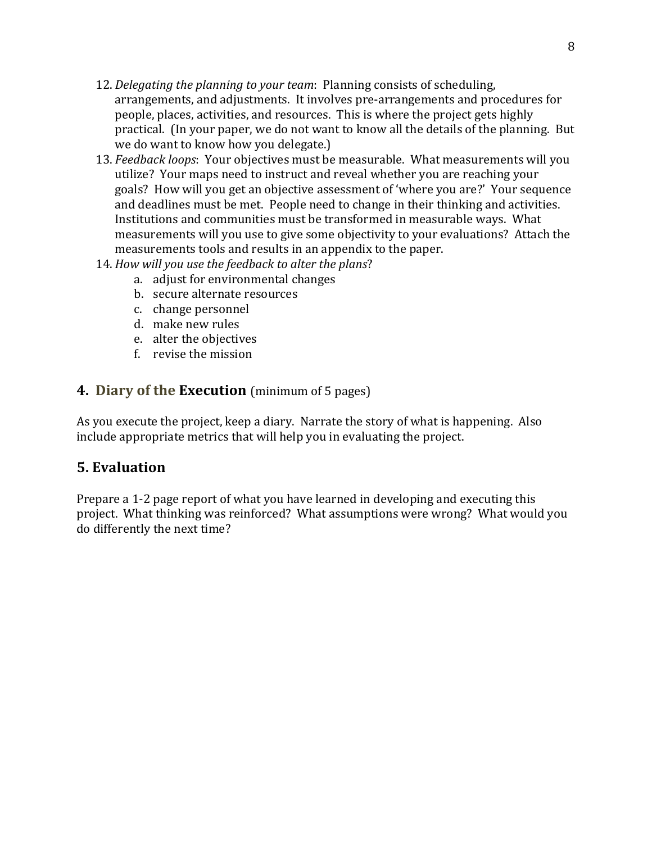- 12. *Delegating the planning to your team*: Planning consists of scheduling, arrangements, and adjustments. It involves pre-arrangements and procedures for people, places, activities, and resources. This is where the project gets highly practical. (In your paper, we do not want to know all the details of the planning. But we do want to know how you delegate.)
- 13. *Feedback loops*: Your objectives must be measurable. What measurements will you utilize? Your maps need to instruct and reveal whether you are reaching your goals? How will you get an objective assessment of 'where you are?' Your sequence and deadlines must be met. People need to change in their thinking and activities. Institutions and communities must be transformed in measurable ways. What measurements will you use to give some objectivity to your evaluations? Attach the measurements tools and results in an appendix to the paper.
- 14. How will you use the feedback to alter the plans?
	- a. adjust for environmental changes
	- b. secure alternate resources
	- c. change personnel
	- d. make new rules
	- e. alter the objectives
	- f. revise the mission

## **4. Diary of the Execution** (minimum of 5 pages)

As you execute the project, keep a diary. Narrate the story of what is happening. Also include appropriate metrics that will help you in evaluating the project.

## **5. Evaluation**

Prepare a 1-2 page report of what you have learned in developing and executing this project. What thinking was reinforced? What assumptions were wrong? What would you do differently the next time?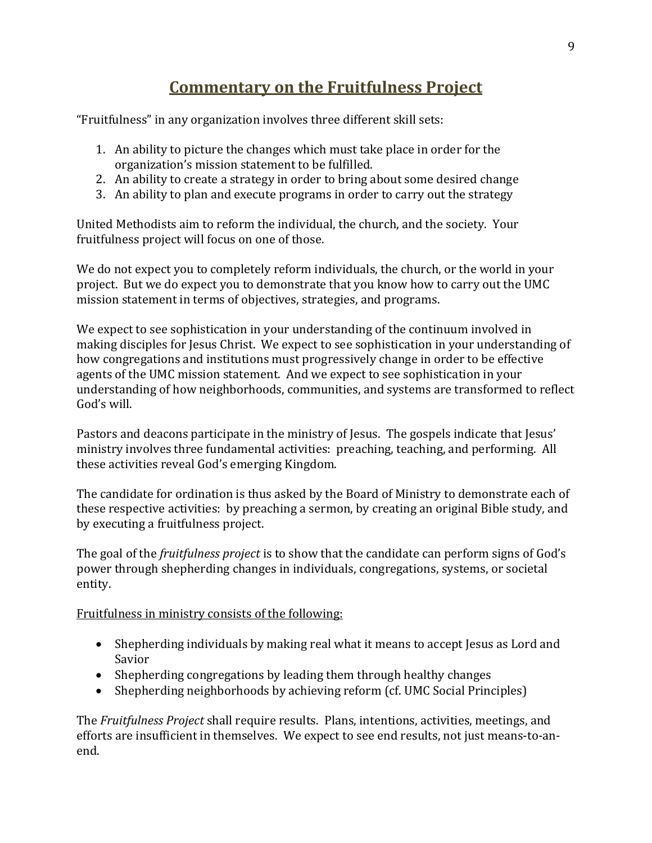# **Commentary on the Fruitfulness Project**

"Fruitfulness" in any organization involves three different skill sets:

- 1. An ability to picture the changes which must take place in order for the organization's mission statement to be fulfilled.
- 2. An ability to create a strategy in order to bring about some desired change
- 3. An ability to plan and execute programs in order to carry out the strategy

United Methodists aim to reform the individual, the church, and the society. Your fruitfulness project will focus on one of those.

We do not expect you to completely reform individuals, the church, or the world in your project. But we do expect you to demonstrate that you know how to carry out the UMC mission statement in terms of objectives, strategies, and programs.

We expect to see sophistication in your understanding of the continuum involved in making disciples for Jesus Christ. We expect to see sophistication in your understanding of how congregations and institutions must progressively change in order to be effective agents of the UMC mission statement. And we expect to see sophistication in your understanding of how neighborhoods, communities, and systems are transformed to reflect God's will.

Pastors and deacons participate in the ministry of Jesus. The gospels indicate that Jesus' ministry involves three fundamental activities: preaching, teaching, and performing. All these activities reveal God's emerging Kingdom.

The candidate for ordination is thus asked by the Board of Ministry to demonstrate each of these respective activities: by preaching a sermon, by creating an original Bible study, and by executing a fruitfulness project.

The goal of the *fruitfulness project* is to show that the candidate can perform signs of God's power through shepherding changes in individuals, congregations, systems, or societal entity.

Fruitfulness in ministry consists of the following:

- Shepherding individuals by making real what it means to accept Jesus as Lord and Savior
- Shepherding congregations by leading them through healthy changes
- Shepherding neighborhoods by achieving reform (cf. UMC Social Principles)

The *Fruitfulness Project* shall require results. Plans, intentions, activities, meetings, and efforts are insufficient in themselves. We expect to see end results, not just means-to-anend.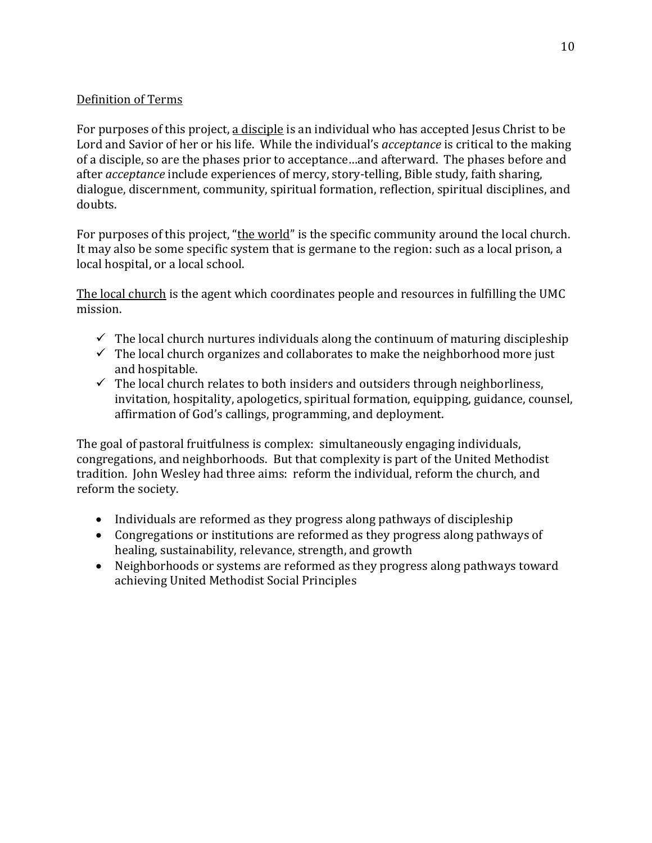## Definition of Terms

For purposes of this project, a disciple is an individual who has accepted Jesus Christ to be Lord and Savior of her or his life. While the individual's *acceptance* is critical to the making of a disciple, so are the phases prior to acceptance...and afterward. The phases before and after *acceptance* include experiences of mercy, story-telling, Bible study, faith sharing, dialogue, discernment, community, spiritual formation, reflection, spiritual disciplines, and doubts. 

For purposes of this project, "the world" is the specific community around the local church. It may also be some specific system that is germane to the region: such as a local prison, a local hospital, or a local school.

The local church is the agent which coordinates people and resources in fulfilling the UMC mission. 

- $\checkmark$  The local church nurtures individuals along the continuum of maturing discipleship
- $\checkmark$  The local church organizes and collaborates to make the neighborhood more just and hospitable.
- $\checkmark$  The local church relates to both insiders and outsiders through neighborliness, invitation, hospitality, apologetics, spiritual formation, equipping, guidance, counsel, affirmation of God's callings, programming, and deployment.

The goal of pastoral fruitfulness is complex: simultaneously engaging individuals, congregations, and neighborhoods. But that complexity is part of the United Methodist tradition. John Wesley had three aims: reform the individual, reform the church, and reform the society.

- Individuals are reformed as they progress along pathways of discipleship
- Congregations or institutions are reformed as they progress along pathways of healing, sustainability, relevance, strength, and growth
- Neighborhoods or systems are reformed as they progress along pathways toward achieving United Methodist Social Principles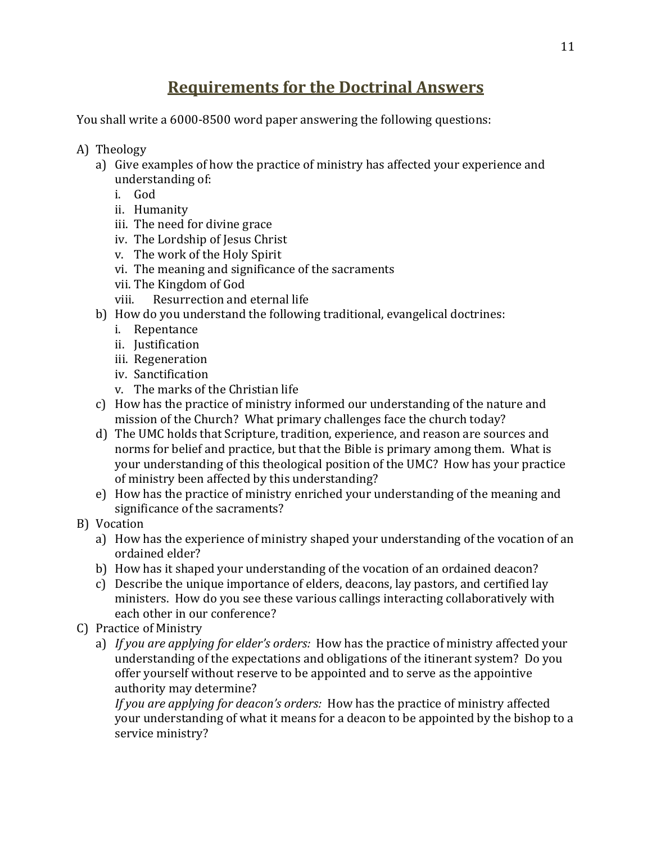# **Requirements for the Doctrinal Answers**

You shall write a 6000-8500 word paper answering the following questions:

- A) Theology
	- a) Give examples of how the practice of ministry has affected your experience and understanding of:
		- i. God
		- ii. Humanity
		- iii. The need for divine grace
		- iv. The Lordship of Jesus Christ
		- v. The work of the Holy Spirit
		- vi. The meaning and significance of the sacraments
		- vii. The Kingdom of God
		- viii. Resurrection and eternal life
	- b) How do you understand the following traditional, evangelical doctrines:
		- i. Repentance
		- ii. Justification
		- iii. Regeneration
		- iv. Sanctification
		- v. The marks of the Christian life
	- c) How has the practice of ministry informed our understanding of the nature and mission of the Church? What primary challenges face the church today?
	- d) The UMC holds that Scripture, tradition, experience, and reason are sources and norms for belief and practice, but that the Bible is primary among them. What is your understanding of this theological position of the UMC? How has your practice of ministry been affected by this understanding?
	- e) How has the practice of ministry enriched your understanding of the meaning and significance of the sacraments?
- B) Vocation
	- a) How has the experience of ministry shaped your understanding of the vocation of an ordained elder?
	- b) How has it shaped your understanding of the vocation of an ordained deacon?
	- c) Describe the unique importance of elders, deacons, lay pastors, and certified lay ministers. How do you see these various callings interacting collaboratively with each other in our conference?
- C) Practice of Ministry
	- a) If you are applying for elder's orders: How has the practice of ministry affected your understanding of the expectations and obligations of the itinerant system? Do you offer yourself without reserve to be appointed and to serve as the appointive authority may determine?

*If you are applying for deacon's orders:* How has the practice of ministry affected your understanding of what it means for a deacon to be appointed by the bishop to a service ministry?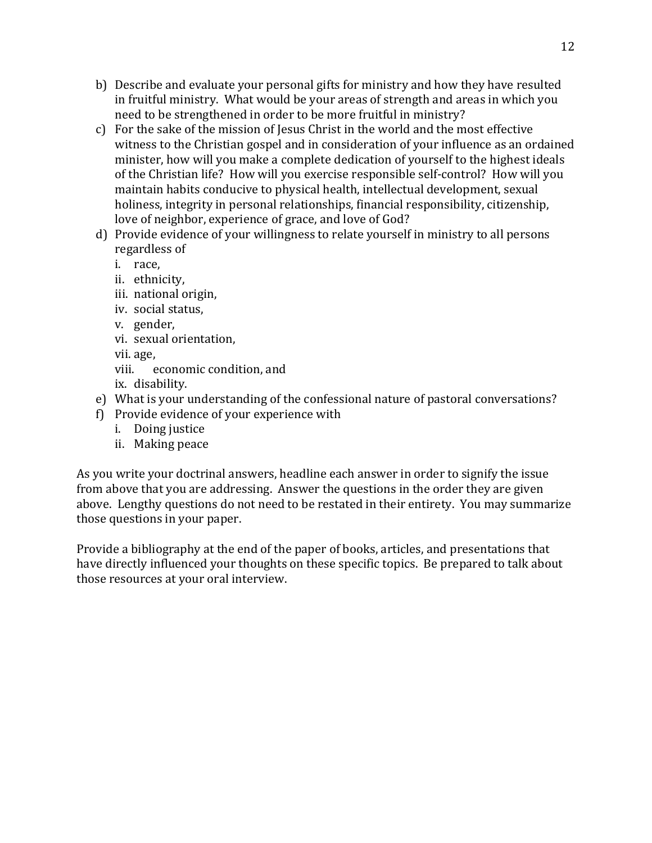- b) Describe and evaluate your personal gifts for ministry and how they have resulted in fruitful ministry. What would be your areas of strength and areas in which you need to be strengthened in order to be more fruitful in ministry?
- c) For the sake of the mission of Jesus Christ in the world and the most effective witness to the Christian gospel and in consideration of your influence as an ordained minister, how will you make a complete dedication of yourself to the highest ideals of the Christian life? How will you exercise responsible self-control? How will you maintain habits conducive to physical health, intellectual development, sexual holiness, integrity in personal relationships, financial responsibility, citizenship, love of neighbor, experience of grace, and love of God?
- d) Provide evidence of your willingness to relate yourself in ministry to all persons regardless of
	- i. race,
	- ii. ethnicity,
	- iii. national origin,
	- iv. social status,
	- v. gender,
	- vi. sexual orientation,

vii. age, 

viii. economic condition, and

ix. disability.

- e) What is your understanding of the confessional nature of pastoral conversations?
- f) Provide evidence of your experience with
	- i. Doing justice
	- ii. Making peace

As you write your doctrinal answers, headline each answer in order to signify the issue from above that you are addressing. Answer the questions in the order they are given above. Lengthy questions do not need to be restated in their entirety. You may summarize those questions in your paper.

Provide a bibliography at the end of the paper of books, articles, and presentations that have directly influenced your thoughts on these specific topics. Be prepared to talk about those resources at your oral interview.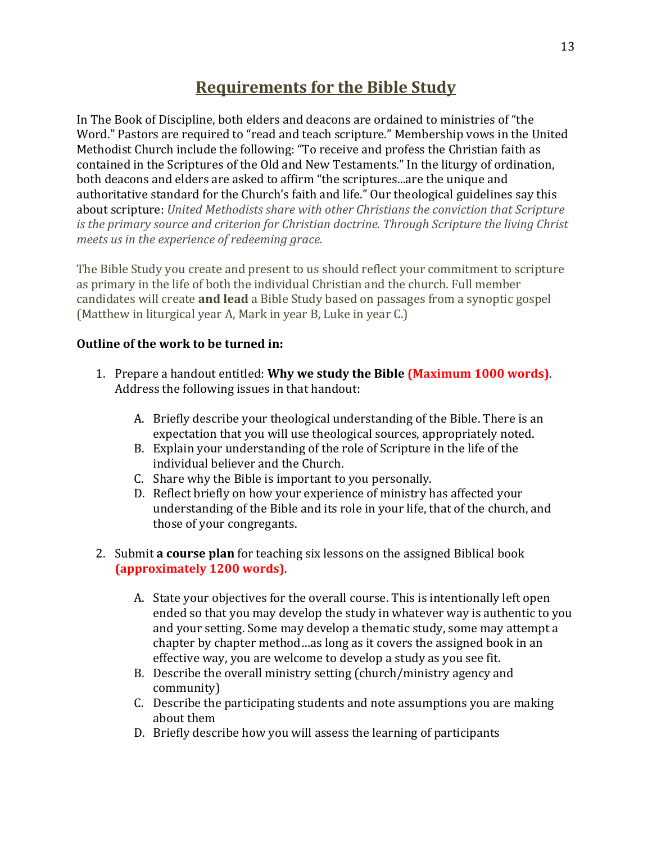## **Requirements for the Bible Study**

In The Book of Discipline, both elders and deacons are ordained to ministries of "the Word." Pastors are required to "read and teach scripture." Membership vows in the United Methodist Church include the following: "To receive and profess the Christian faith as contained in the Scriptures of the Old and New Testaments." In the liturgy of ordination, both deacons and elders are asked to affirm "the scriptures...are the unique and authoritative standard for the Church's faith and life." Our theological guidelines say this about scripture: United Methodists share with other Christians the conviction that Scripture *is* the primary source and criterion for Christian doctrine. Through Scripture the living Christ *meets us in the experience of redeeming grace.* 

The Bible Study you create and present to us should reflect your commitment to scripture as primary in the life of both the individual Christian and the church. Full member candidates will create **and lead** a Bible Study based on passages from a synoptic gospel (Matthew in liturgical year A, Mark in year B, Luke in year C.)

## **Outline of the work to be turned in:**

- 1. Prepare a handout entitled: **Why we study the Bible (Maximum 1000 words)**. Address the following issues in that handout:
	- A. Briefly describe your theological understanding of the Bible. There is an expectation that you will use theological sources, appropriately noted.
	- B. Explain your understanding of the role of Scripture in the life of the individual believer and the Church.
	- C. Share why the Bible is important to you personally.
	- D. Reflect briefly on how your experience of ministry has affected your understanding of the Bible and its role in your life, that of the church, and those of your congregants.
- 2. Submit **a course plan** for teaching six lessons on the assigned Biblical book **(approximately 1200 words)**.
	- A. State your objectives for the overall course. This is intentionally left open ended so that you may develop the study in whatever way is authentic to you and your setting. Some may develop a thematic study, some may attempt a chapter by chapter method…as long as it covers the assigned book in an effective way, you are welcome to develop a study as you see fit.
	- B. Describe the overall ministry setting (church/ministry agency and community)
	- C. Describe the participating students and note assumptions you are making about them
	- D. Briefly describe how you will assess the learning of participants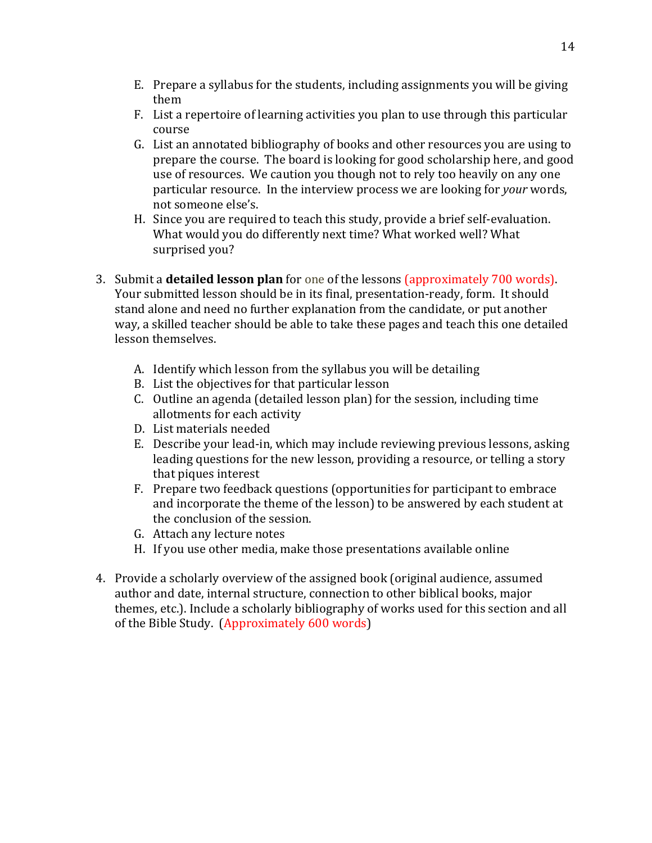- E. Prepare a syllabus for the students, including assignments you will be giving them
- F. List a repertoire of learning activities you plan to use through this particular course
- G. List an annotated bibliography of books and other resources you are using to prepare the course. The board is looking for good scholarship here, and good use of resources. We caution you though not to rely too heavily on any one particular resource. In the interview process we are looking for *your* words, not someone else's.
- H. Since you are required to teach this study, provide a brief self-evaluation. What would you do differently next time? What worked well? What surprised you?
- 3. Submit a **detailed lesson plan** for one of the lessons (approximately 700 words). Your submitted lesson should be in its final, presentation-ready, form. It should stand alone and need no further explanation from the candidate, or put another way, a skilled teacher should be able to take these pages and teach this one detailed lesson themselves.
	- A. Identify which lesson from the syllabus you will be detailing
	- B. List the objectives for that particular lesson
	- C. Outline an agenda (detailed lesson plan) for the session, including time allotments for each activity
	- D. List materials needed
	- E. Describe your lead-in, which may include reviewing previous lessons, asking leading questions for the new lesson, providing a resource, or telling a story that piques interest
	- F. Prepare two feedback questions (opportunities for participant to embrace and incorporate the theme of the lesson) to be answered by each student at the conclusion of the session.
	- G. Attach any lecture notes
	- H. If you use other media, make those presentations available online
- 4. Provide a scholarly overview of the assigned book (original audience, assumed author and date, internal structure, connection to other biblical books, major themes, etc.). Include a scholarly bibliography of works used for this section and all of the Bible Study. (Approximately  $600$  words)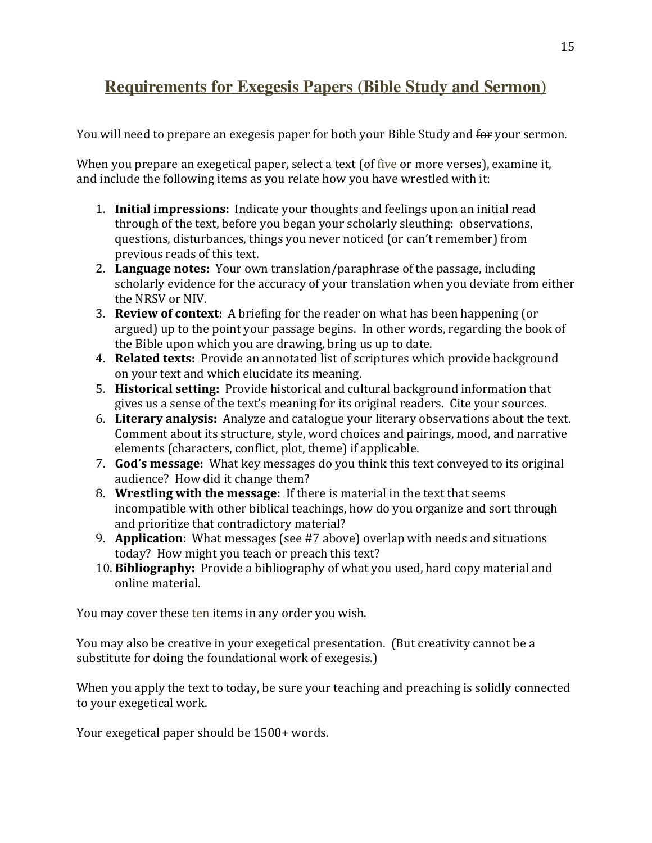# **Requirements for Exegesis Papers (Bible Study and Sermon)**

You will need to prepare an exegesis paper for both your Bible Study and for your sermon.

When you prepare an exegetical paper, select a text (of five or more verses), examine it, and include the following items as you relate how you have wrestled with it:

- 1. **Initial impressions:** Indicate your thoughts and feelings upon an initial read through of the text, before you began your scholarly sleuthing: observations, questions, disturbances, things you never noticed (or can't remember) from previous reads of this text.
- 2. Language notes: Your own translation/paraphrase of the passage, including scholarly evidence for the accuracy of your translation when you deviate from either the NRSV or NIV.
- 3. **Review of context:** A briefing for the reader on what has been happening (or argued) up to the point your passage begins. In other words, regarding the book of the Bible upon which you are drawing, bring us up to date.
- 4. **Related texts:** Provide an annotated list of scriptures which provide background on your text and which elucidate its meaning.
- 5. **Historical setting:** Provide historical and cultural background information that gives us a sense of the text's meaning for its original readers. Cite your sources.
- 6. Literary analysis: Analyze and catalogue your literary observations about the text. Comment about its structure, style, word choices and pairings, mood, and narrative elements (characters, conflict, plot, theme) if applicable.
- 7. **God's message:** What key messages do you think this text conveyed to its original audience? How did it change them?
- 8. **Wrestling with the message:** If there is material in the text that seems incompatible with other biblical teachings, how do you organize and sort through and prioritize that contradictory material?
- 9. **Application:** What messages (see #7 above) overlap with needs and situations today? How might you teach or preach this text?
- 10. **Bibliography:** Provide a bibliography of what you used, hard copy material and online material.

You may cover these ten items in any order you wish.

You may also be creative in your exegetical presentation. (But creativity cannot be a substitute for doing the foundational work of exegesis.)

When you apply the text to today, be sure your teaching and preaching is solidly connected to your exegetical work.

Your exegetical paper should be 1500+ words.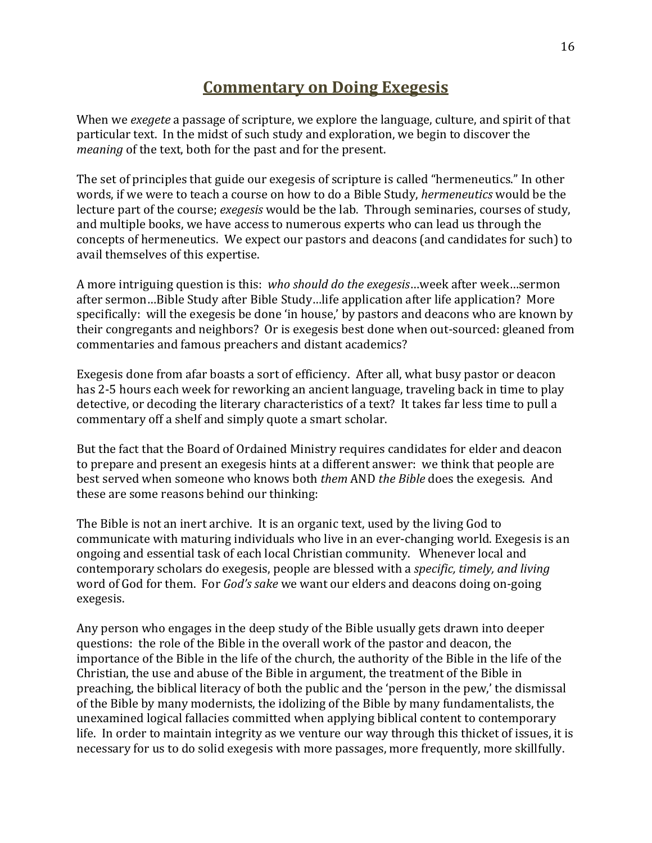## **Commentary on Doing Exegesis**

When we *exegete* a passage of scripture, we explore the language, culture, and spirit of that particular text. In the midst of such study and exploration, we begin to discover the *meaning* of the text, both for the past and for the present.

The set of principles that guide our exegesis of scripture is called "hermeneutics." In other words, if we were to teach a course on how to do a Bible Study, *hermeneutics* would be the lecture part of the course; *exegesis* would be the lab. Through seminaries, courses of study, and multiple books, we have access to numerous experts who can lead us through the concepts of hermeneutics. We expect our pastors and deacons (and candidates for such) to avail themselves of this expertise.

A more intriguing question is this: who *should do the exegesis*…week after week…sermon after sermon...Bible Study after Bible Study...life application after life application? More specifically: will the exegesis be done 'in house,' by pastors and deacons who are known by their congregants and neighbors? Or is exegesis best done when out-sourced: gleaned from commentaries and famous preachers and distant academics?

Exegesis done from afar boasts a sort of efficiency. After all, what busy pastor or deacon has 2-5 hours each week for reworking an ancient language, traveling back in time to play detective, or decoding the literary characteristics of a text? It takes far less time to pull a commentary off a shelf and simply quote a smart scholar.

But the fact that the Board of Ordained Ministry requires candidates for elder and deacon to prepare and present an exegesis hints at a different answer: we think that people are best served when someone who knows both *them* AND *the Bible* does the exegesis. And these are some reasons behind our thinking:

The Bible is not an inert archive. It is an organic text, used by the living God to communicate with maturing individuals who live in an ever-changing world. Exegesis is an ongoing and essential task of each local Christian community. Whenever local and contemporary scholars do exegesis, people are blessed with a *specific, timely, and living* word of God for them. For *God's sake* we want our elders and deacons doing on-going exegesis. 

Any person who engages in the deep study of the Bible usually gets drawn into deeper questions: the role of the Bible in the overall work of the pastor and deacon, the importance of the Bible in the life of the church, the authority of the Bible in the life of the Christian, the use and abuse of the Bible in argument, the treatment of the Bible in preaching, the biblical literacy of both the public and the 'person in the pew,' the dismissal of the Bible by many modernists, the idolizing of the Bible by many fundamentalists, the unexamined logical fallacies committed when applying biblical content to contemporary life. In order to maintain integrity as we venture our way through this thicket of issues, it is necessary for us to do solid exegesis with more passages, more frequently, more skillfully.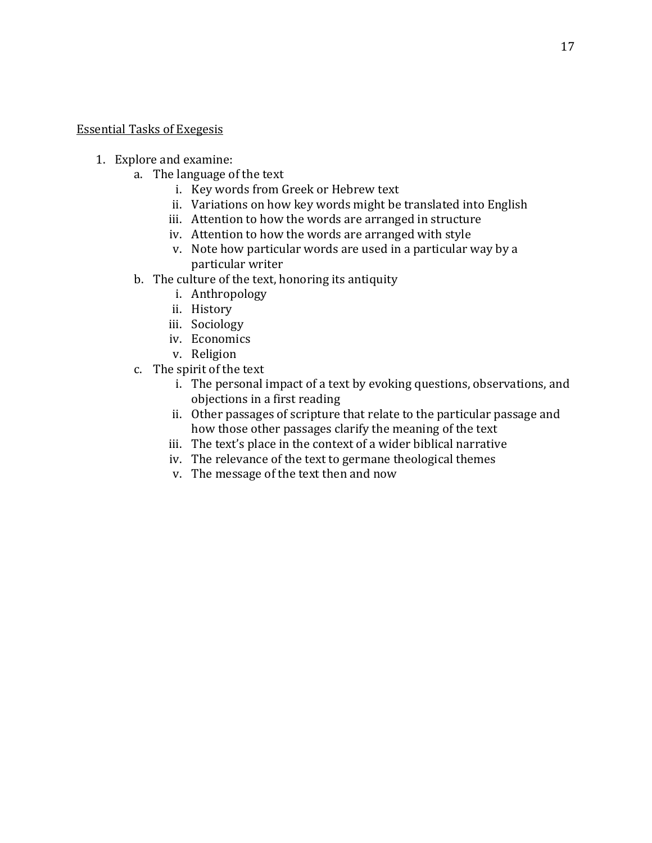#### **Essential Tasks of Exegesis**

- 1. Explore and examine:
	- a. The language of the text
		- i. Key words from Greek or Hebrew text
		- ii. Variations on how key words might be translated into English
		- iii. Attention to how the words are arranged in structure
		- iv. Attention to how the words are arranged with style
		- v. Note how particular words are used in a particular way by a particular writer
	- b. The culture of the text, honoring its antiquity
		- i. Anthropology
		- ii. History
		- iii. Sociology
		- iv. Economics
		- v. Religion
	- c. The spirit of the text
		- i. The personal impact of a text by evoking questions, observations, and objections in a first reading
		- ii. Other passages of scripture that relate to the particular passage and how those other passages clarify the meaning of the text
		- iii. The text's place in the context of a wider biblical narrative
		- iv. The relevance of the text to germane theological themes
		- v. The message of the text then and now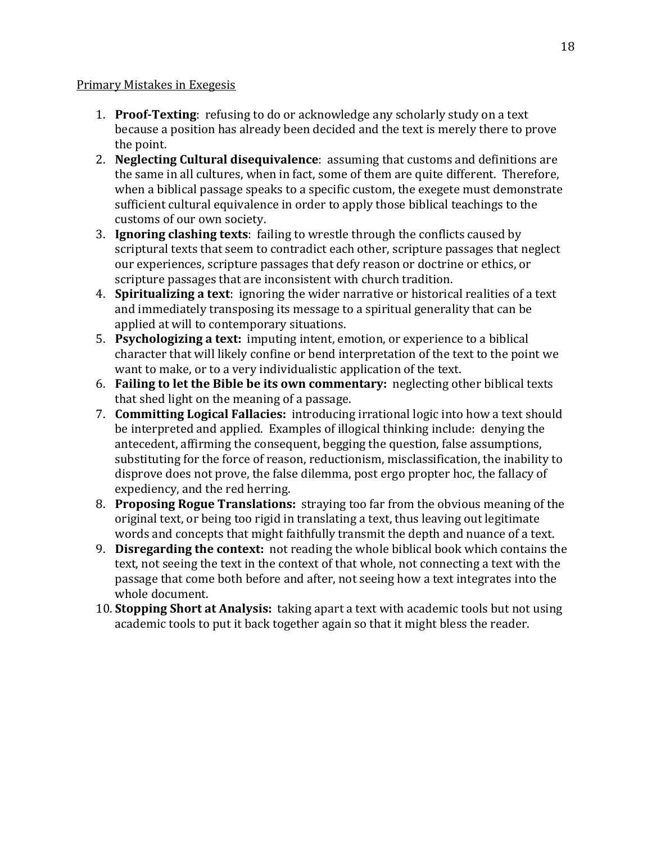#### Primary Mistakes in Exegesis

- 1. **Proof-Texting**: refusing to do or acknowledge any scholarly study on a text because a position has already been decided and the text is merely there to prove the point.
- 2. **Neglecting Cultural disequivalence**: assuming that customs and definitions are the same in all cultures, when in fact, some of them are quite different. Therefore, when a biblical passage speaks to a specific custom, the exegete must demonstrate sufficient cultural equivalence in order to apply those biblical teachings to the customs of our own society.
- 3. **Ignoring clashing texts**: failing to wrestle through the conflicts caused by scriptural texts that seem to contradict each other, scripture passages that neglect our experiences, scripture passages that defy reason or doctrine or ethics, or scripture passages that are inconsistent with church tradition.
- 4. **Spiritualizing a text**: ignoring the wider narrative or historical realities of a text and immediately transposing its message to a spiritual generality that can be applied at will to contemporary situations.
- 5. Psychologizing a text: imputing intent, emotion, or experience to a biblical character that will likely confine or bend interpretation of the text to the point we want to make, or to a very individualistic application of the text.
- 6. **Failing to let the Bible be its own commentary:** neglecting other biblical texts that shed light on the meaning of a passage.
- 7. **Committing Logical Fallacies:** introducing irrational logic into how a text should be interpreted and applied. Examples of illogical thinking include: denying the antecedent, affirming the consequent, begging the question, false assumptions, substituting for the force of reason, reductionism, misclassification, the inability to disprove does not prove, the false dilemma, post ergo propter hoc, the fallacy of expediency, and the red herring.
- 8. **Proposing Rogue Translations:** straying too far from the obvious meaning of the original text, or being too rigid in translating a text, thus leaving out legitimate words and concepts that might faithfully transmit the depth and nuance of a text.
- 9. **Disregarding the context:** not reading the whole biblical book which contains the text, not seeing the text in the context of that whole, not connecting a text with the passage that come both before and after, not seeing how a text integrates into the whole document.
- 10. **Stopping Short at Analysis:** taking apart a text with academic tools but not using academic tools to put it back together again so that it might bless the reader.